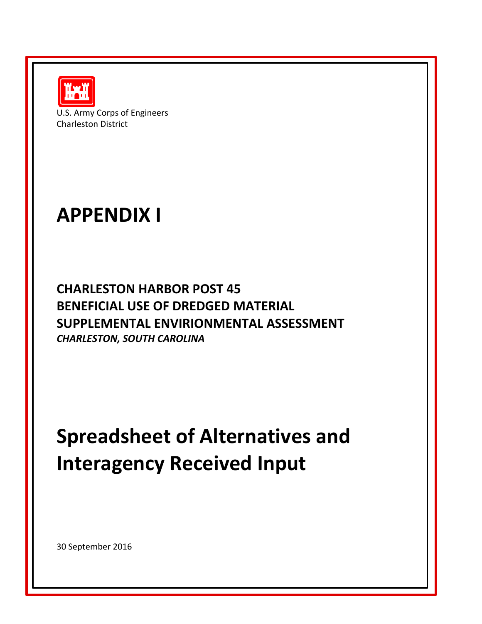

U.S. Army Corps of Engineers Charleston District

## **APPENDIX I**

**CHARLESTON HARBOR POST 45 BENEFICIAL USE OF DREDGED MATERIAL SUPPLEMENTAL ENVIRIONMENTAL ASSESSMENT** *CHARLESTON, SOUTH CAROLINA*

## **Spreadsheet of Alternatives and Interagency Received Input**

30 September 2016